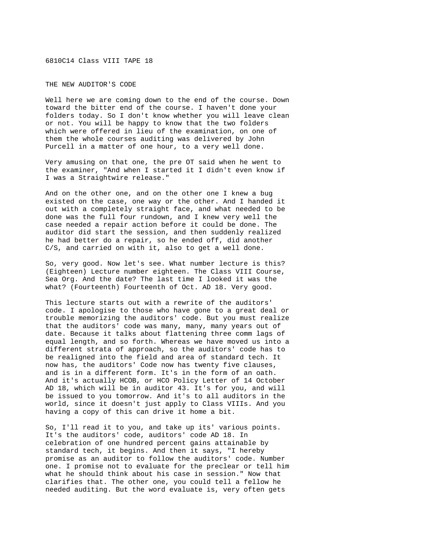6810C14 Class VIII TAPE 18

THE NEW AUDITOR'S CODE

Well here we are coming down to the end of the course. Down toward the bitter end of the course. I haven't done your folders today. So I don't know whether you will leave clean or not. You will be happy to know that the two folders which were offered in lieu of the examination, on one of them the whole courses auditing was delivered by John Purcell in a matter of one hour, to a very well done.

Very amusing on that one, the pre OT said when he went to the examiner, "And when I started it I didn't even know if I was a Straightwire release."

And on the other one, and on the other one I knew a bug existed on the case, one way or the other. And I handed it out with a completely straight face, and what needed to be done was the full four rundown, and I knew very well the case needed a repair action before it could be done. The auditor did start the session, and then suddenly realized he had better do a repair, so he ended off, did another C/S, and carried on with it, also to get a well done.

So, very good. Now let's see. What number lecture is this? (Eighteen) Lecture number eighteen. The Class VIII Course, Sea Org. And the date? The last time I looked it was the what? (Fourteenth) Fourteenth of Oct. AD 18. Very good.

This lecture starts out with a rewrite of the auditors' code. I apologise to those who have gone to a great deal or trouble memorizing the auditors' code. But you must realize that the auditors' code was many, many, many years out of date. Because it talks about flattening three comm lags of equal length, and so forth. Whereas we have moved us into a different strata of approach, so the auditors' code has to be realigned into the field and area of standard tech. It now has, the auditors' Code now has twenty five clauses, and is in a different form. It's in the form of an oath. And it's actually HCOB, or HCO Policy Letter of 14 October AD 18, which will be in auditor 43. It's for you, and will be issued to you tomorrow. And it's to all auditors in the world, since it doesn't just apply to Class VIIIs. And you having a copy of this can drive it home a bit.

So, I'll read it to you, and take up its' various points. It's the auditors' code, auditors' code AD 18. In celebration of one hundred percent gains attainable by standard tech, it begins. And then it says, "I hereby promise as an auditor to follow the auditors' code. Number one. I promise not to evaluate for the preclear or tell him what he should think about his case in session." Now that clarifies that. The other one, you could tell a fellow he needed auditing. But the word evaluate is, very often gets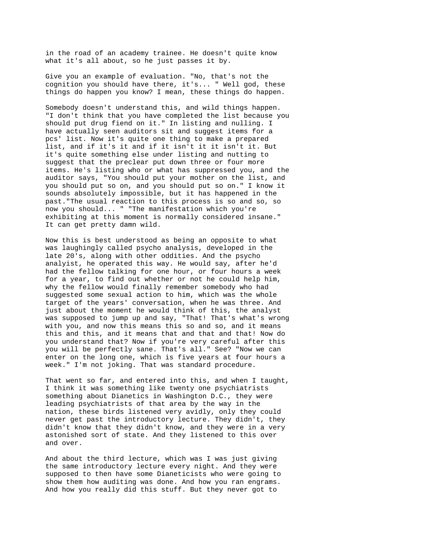in the road of an academy trainee. He doesn't quite know what it's all about, so he just passes it by.

Give you an example of evaluation. "No, that's not the cognition you should have there, it's... " Well god, these things do happen you know? I mean, these things do happen.

Somebody doesn't understand this, and wild things happen. "I don't think that you have completed the list because you should put drug fiend on it." In listing and nulling. I have actually seen auditors sit and suggest items for a pcs' list. Now it's quite one thing to make a prepared list, and if it's it and if it isn't it it isn't it. But it's quite something else under listing and nutting to suggest that the preclear put down three or four more items. He's listing who or what has suppressed you, and the auditor says, "You should put your mother on the list, and you should put so on, and you should put so on." I know it sounds absolutely impossible, but it has happened in the past."The usual reaction to this process is so and so, so now you should... " "The manifestation which you're exhibiting at this moment is normally considered insane." It can get pretty damn wild.

Now this is best understood as being an opposite to what was laughingly called psycho analysis, developed in the late 20's, along with other oddities. And the psycho analyist, he operated this way. He would say, after he'd had the fellow talking for one hour, or four hours a week for a year, to find out whether or not he could help him, why the fellow would finally remember somebody who had suggested some sexual action to him, which was the whole target of the years' conversation, when he was three. And just about the moment he would think of this, the analyst was supposed to jump up and say, "That! That's what's wrong with you, and now this means this so and so, and it means this and this, and it means that and that and that! Now do you understand that? Now if you're very careful after this you will be perfectly sane. That's all." See? "Now we can enter on the long one, which is five years at four hours a week." I'm not joking. That was standard procedure.

That went so far, and entered into this, and when I taught, I think it was something like twenty one psychiatrists something about Dianetics in Washington D.C., they were leading psychiatrists of that area by the way in the nation, these birds listened very avidly, only they could never get past the introductory lecture. They didn't, they didn't know that they didn't know, and they were in a very astonished sort of state. And they listened to this over and over.

And about the third lecture, which was I was just giving the same introductory lecture every night. And they were supposed to then have some Dianeticists who were going to show them how auditing was done. And how you ran engrams. And how you really did this stuff. But they never got to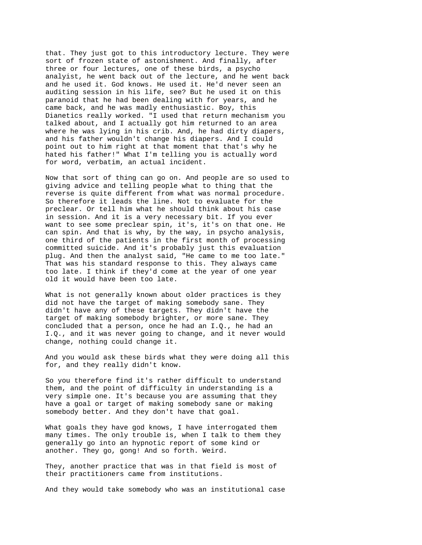that. They just got to this introductory lecture. They were sort of frozen state of astonishment. And finally, after three or four lectures, one of these birds, a psycho analyist, he went back out of the lecture, and he went back and he used it. God knows. He used it. He'd never seen an auditing session in his life, see? But he used it on this paranoid that he had been dealing with for years, and he came back, and he was madly enthusiastic. Boy, this Dianetics really worked. "I used that return mechanism you talked about, and I actually got him returned to an area where he was lying in his crib. And, he had dirty diapers, and his father wouldn't change his diapers. And I could point out to him right at that moment that that's why he hated his father!" What I'm telling you is actually word for word, verbatim, an actual incident.

Now that sort of thing can go on. And people are so used to giving advice and telling people what to thing that the reverse is quite different from what was normal procedure. So therefore it leads the line. Not to evaluate for the preclear. Or tell him what he should think about his case in session. And it is a very necessary bit. If you ever want to see some preclear spin, it's, it's on that one. He can spin. And that is why, by the way, in psycho analysis, one third of the patients in the first month of processing committed suicide. And it's probably just this evaluation plug. And then the analyst said, "He came to me too late." That was his standard response to this. They always came too late. I think if they'd come at the year of one year old it would have been too late.

What is not generally known about older practices is they did not have the target of making somebody sane. They didn't have any of these targets. They didn't have the target of making somebody brighter, or more sane. They concluded that a person, once he had an I.Q., he had an I.Q., and it was never going to change, and it never would change, nothing could change it.

And you would ask these birds what they were doing all this for, and they really didn't know.

So you therefore find it's rather difficult to understand them, and the point of difficulty in understanding is a very simple one. It's because you are assuming that they have a goal or target of making somebody sane or making somebody better. And they don't have that goal.

What goals they have god knows, I have interrogated them many times. The only trouble is, when I talk to them they generally go into an hypnotic report of some kind or another. They go, gong! And so forth. Weird.

They, another practice that was in that field is most of their practitioners came from institutions.

And they would take somebody who was an institutional case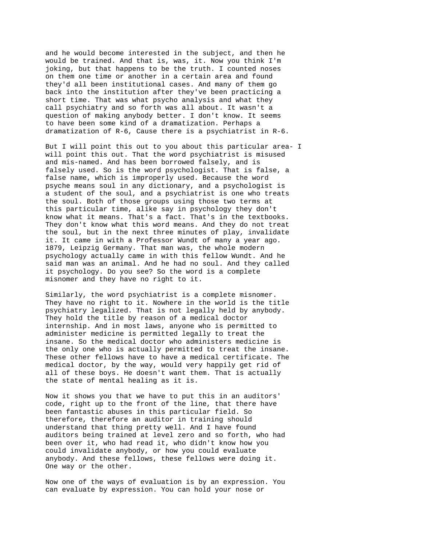and he would become interested in the subject, and then he would be trained. And that is, was, it. Now you think I'm joking, but that happens to be the truth. I counted noses on them one time or another in a certain area and found they'd all been institutional cases. And many of them go back into the institution after they've been practicing a short time. That was what psycho analysis and what they call psychiatry and so forth was all about. It wasn't a question of making anybody better. I don't know. It seems to have been some kind of a dramatization. Perhaps a dramatization of R-6, Cause there is a psychiatrist in R-6.

But I will point this out to you about this particular area- I will point this out. That the word psychiatrist is misused and mis-named. And has been borrowed falsely, and is falsely used. So is the word psychologist. That is false, a false name, which is improperly used. Because the word psyche means soul in any dictionary, and a psychologist is a student of the soul, and a psychiatrist is one who treats the soul. Both of those groups using those two terms at this particular time, alike say in psychology they don't know what it means. That's a fact. That's in the textbooks. They don't know what this word means. And they do not treat the soul, but in the next three minutes of play, invalidate it. It came in with a Professor Wundt of many a year ago. 1879, Leipzig Germany. That man was, the whole modern psychology actually came in with this fellow Wundt. And he said man was an animal. And he had no soul. And they called it psychology. Do you see? So the word is a complete misnomer and they have no right to it.

Similarly, the word psychiatrist is a complete misnomer. They have no right to it. Nowhere in the world is the title psychiatry legalized. That is not legally held by anybody. They hold the title by reason of a medical doctor internship. And in most laws, anyone who is permitted to administer medicine is permitted legally to treat the insane. So the medical doctor who administers medicine is the only one who is actually permitted to treat the insane. These other fellows have to have a medical certificate. The medical doctor, by the way, would very happily get rid of all of these boys. He doesn't want them. That is actually the state of mental healing as it is.

Now it shows you that we have to put this in an auditors' code, right up to the front of the line, that there have been fantastic abuses in this particular field. So therefore, therefore an auditor in training should understand that thing pretty well. And I have found auditors being trained at level zero and so forth, who had been over it, who had read it, who didn't know how you could invalidate anybody, or how you could evaluate anybody. And these fellows, these fellows were doing it. One way or the other.

Now one of the ways of evaluation is by an expression. You can evaluate by expression. You can hold your nose or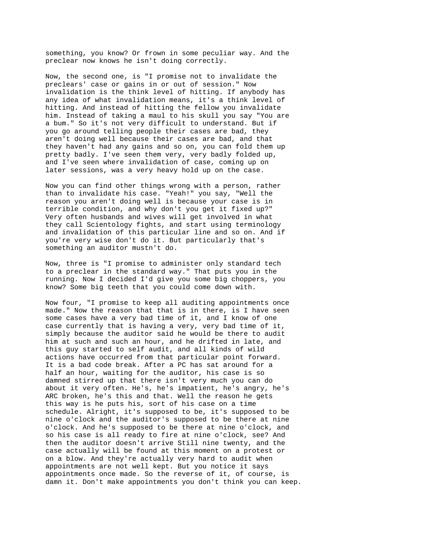something, you know? Or frown in some peculiar way. And the preclear now knows he isn't doing correctly.

Now, the second one, is "I promise not to invalidate the preclears' case or gains in or out of session." Now invalidation is the think level of hitting. If anybody has any idea of what invalidation means, it's a think level of hitting. And instead of hitting the fellow you invalidate him. Instead of taking a maul to his skull you say "You are a bum." So it's not very difficult to understand. But if you go around telling people their cases are bad, they aren't doing well because their cases are bad, and that they haven't had any gains and so on, you can fold them up pretty badly. I've seen them very, very badly folded up, and I've seen where invalidation of case, coming up on later sessions, was a very heavy hold up on the case.

Now you can find other things wrong with a person, rather than to invalidate his case. "Yeah!" you say, "Well the reason you aren't doing well is because your case is in terrible condition, and why don't you get it fixed up?" Very often husbands and wives will get involved in what they call Scientology fights, and start using terminology and invalidation of this particular line and so on. And if you're very wise don't do it. But particularly that's something an auditor mustn't do.

Now, three is "I promise to administer only standard tech to a preclear in the standard way." That puts you in the running. Now I decided I'd give you some big choppers, you know? Some big teeth that you could come down with.

Now four, "I promise to keep all auditing appointments once made." Now the reason that that is in there, is I have seen some cases have a very bad time of it, and I know of one case currently that is having a very, very bad time of it, simply because the auditor said he would be there to audit him at such and such an hour, and he drifted in late, and this guy started to self audit, and all kinds of wild actions have occurred from that particular point forward. It is a bad code break. After a PC has sat around for a half an hour, waiting for the auditor, his case is so damned stirred up that there isn't very much you can do about it very often. He's, he's impatient, he's angry, he's ARC broken, he's this and that. Well the reason he gets this way is he puts his, sort of his case on a time schedule. Alright, it's supposed to be, it's supposed to be nine o'clock and the auditor's supposed to be there at nine o'clock. And he's supposed to be there at nine o'clock, and so his case is all ready to fire at nine o'clock, see? And then the auditor doesn't arrive Still nine twenty, and the case actually will be found at this moment on a protest or on a blow. And they're actually very hard to audit when appointments are not well kept. But you notice it says appointments once made. So the reverse of it, of course, is damn it. Don't make appointments you don't think you can keep.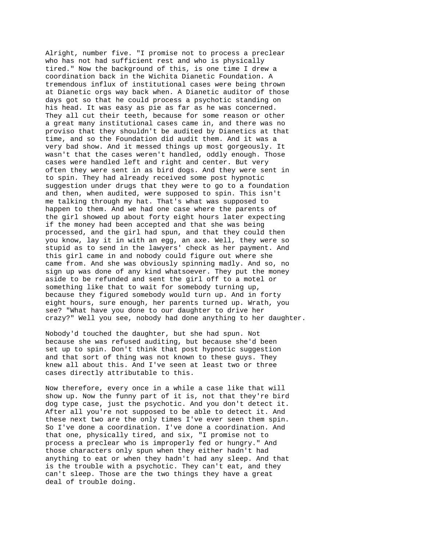Alright, number five. "I promise not to process a preclear who has not had sufficient rest and who is physically tired." Now the background of this, is one time I drew a coordination back in the Wichita Dianetic Foundation. A tremendous influx of institutional cases were being thrown at Dianetic orgs way back when. A Dianetic auditor of those days got so that he could process a psychotic standing on his head. It was easy as pie as far as he was concerned. They all cut their teeth, because for some reason or other a great many institutional cases came in, and there was no proviso that they shouldn't be audited by Dianetics at that time, and so the Foundation did audit them. And it was a very bad show. And it messed things up most gorgeously. It wasn't that the cases weren't handled, oddly enough. Those cases were handled left and right and center. But very often they were sent in as bird dogs. And they were sent in to spin. They had already received some post hypnotic suggestion under drugs that they were to go to a foundation and then, when audited, were supposed to spin. This isn't me talking through my hat. That's what was supposed to happen to them. And we had one case where the parents of the girl showed up about forty eight hours later expecting if the money had been accepted and that she was being processed, and the girl had spun, and that they could then you know, lay it in with an egg, an axe. Well, they were so stupid as to send in the lawyers' check as her payment. And this girl came in and nobody could figure out where she came from. And she was obviously spinning madly. And so, no sign up was done of any kind whatsoever. They put the money aside to be refunded and sent the girl off to a motel or something like that to wait for somebody turning up, because they figured somebody would turn up. And in forty eight hours, sure enough, her parents turned up. Wrath, you see? "What have you done to our daughter to drive her crazy?" Well you see, nobody had done anything to her daughter.

Nobody'd touched the daughter, but she had spun. Not because she was refused auditing, but because she'd been set up to spin. Don't think that post hypnotic suggestion and that sort of thing was not known to these guys. They knew all about this. And I've seen at least two or three cases directly attributable to this.

Now therefore, every once in a while a case like that will show up. Now the funny part of it is, not that they're bird dog type case, just the psychotic. And you don't detect it. After all you're not supposed to be able to detect it. And these next two are the only times I've ever seen them spin. So I've done a coordination. I've done a coordination. And that one, physically tired, and six, "I promise not to process a preclear who is improperly fed or hungry." And those characters only spun when they either hadn't had anything to eat or when they hadn't had any sleep. And that is the trouble with a psychotic. They can't eat, and they can't sleep. Those are the two things they have a great deal of trouble doing.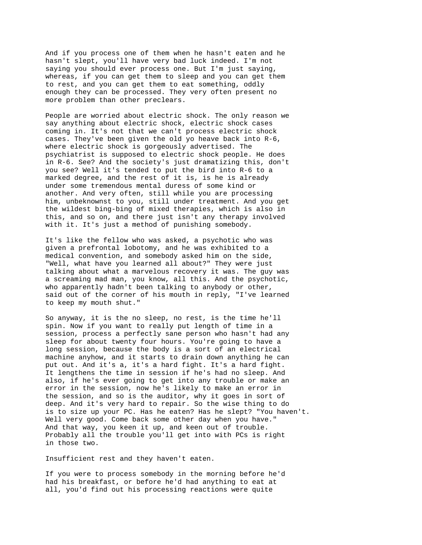And if you process one of them when he hasn't eaten and he hasn't slept, you'll have very bad luck indeed. I'm not saying you should ever process one. But I'm just saying, whereas, if you can get them to sleep and you can get them to rest, and you can get them to eat something, oddly enough they can be processed. They very often present no more problem than other preclears.

People are worried about electric shock. The only reason we say anything about electric shock, electric shock cases coming in. It's not that we can't process electric shock cases. They've been given the old yo heave back into R-6, where electric shock is gorgeously advertised. The psychiatrist is supposed to electric shock people. He does in R-6. See? And the society's just dramatizing this, don't you see? Well it's tended to put the bird into R-6 to a marked degree, and the rest of it is, is he is already under some tremendous mental duress of some kind or another. And very often, still while you are processing him, unbeknownst to you, still under treatment. And you get the wildest bing-bing of mixed therapies, which is also in this, and so on, and there just isn't any therapy involved with it. It's just a method of punishing somebody.

It's like the fellow who was asked, a psychotic who was given a prefrontal lobotomy, and he was exhibited to a medical convention, and somebody asked him on the side, "Well, what have you learned all about?" They were just talking about what a marvelous recovery it was. The guy was a screaming mad man, you know, all this. And the psychotic, who apparently hadn't been talking to anybody or other, said out of the corner of his mouth in reply, "I've learned to keep my mouth shut."

So anyway, it is the no sleep, no rest, is the time he'll spin. Now if you want to really put length of time in a session, process a perfectly sane person who hasn't had any sleep for about twenty four hours. You're going to have a long session, because the body is a sort of an electrical machine anyhow, and it starts to drain down anything he can put out. And it's a, it's a hard fight. It's a hard fight. It lengthens the time in session if he's had no sleep. And also, if he's ever going to get into any trouble or make an error in the session, now he's likely to make an error in the session, and so is the auditor, why it goes in sort of deep. And it's very hard to repair. So the wise thing to do is to size up your PC. Has he eaten? Has he slept? "You haven't. Well very good. Come back some other day when you have." And that way, you keen it up, and keen out of trouble. Probably all the trouble you'll get into with PCs is right in those two.

Insufficient rest and they haven't eaten.

If you were to process somebody in the morning before he'd had his breakfast, or before he'd had anything to eat at all, you'd find out his processing reactions were quite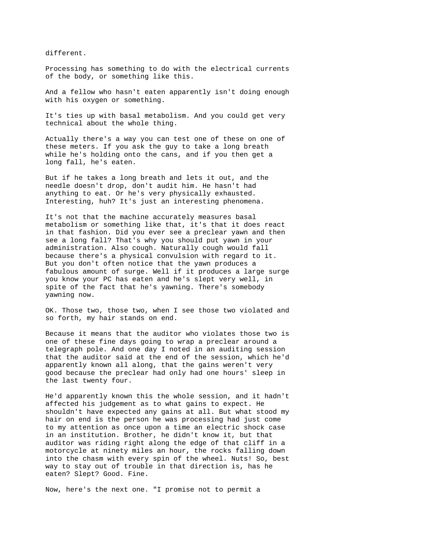different.

Processing has something to do with the electrical currents of the body, or something like this.

And a fellow who hasn't eaten apparently isn't doing enough with his oxygen or something.

It's ties up with basal metabolism. And you could get very technical about the whole thing.

Actually there's a way you can test one of these on one of these meters. If you ask the guy to take a long breath while he's holding onto the cans, and if you then get a long fall, he's eaten.

But if he takes a long breath and lets it out, and the needle doesn't drop, don't audit him. He hasn't had anything to eat. Or he's very physically exhausted. Interesting, huh? It's just an interesting phenomena.

It's not that the machine accurately measures basal metabolism or something like that, it's that it does react in that fashion. Did you ever see a preclear yawn and then see a long fall? That's why you should put yawn in your administration. Also cough. Naturally cough would fall because there's a physical convulsion with regard to it. But you don't often notice that the yawn produces a fabulous amount of surge. Well if it produces a large surge you know your PC has eaten and he's slept very well, in spite of the fact that he's yawning. There's somebody yawning now.

OK. Those two, those two, when I see those two violated and so forth, my hair stands on end.

Because it means that the auditor who violates those two is one of these fine days going to wrap a preclear around a telegraph pole. And one day I noted in an auditing session that the auditor said at the end of the session, which he'd apparently known all along, that the gains weren't very good because the preclear had only had one hours' sleep in the last twenty four.

He'd apparently known this the whole session, and it hadn't affected his judgement as to what gains to expect. He shouldn't have expected any gains at all. But what stood my hair on end is the person he was processing had just come to my attention as once upon a time an electric shock case in an institution. Brother, he didn't know it, but that auditor was riding right along the edge of that cliff in a motorcycle at ninety miles an hour, the rocks falling down into the chasm with every spin of the wheel. Nuts! So, best way to stay out of trouble in that direction is, has he eaten? Slept? Good. Fine.

Now, here's the next one. "I promise not to permit a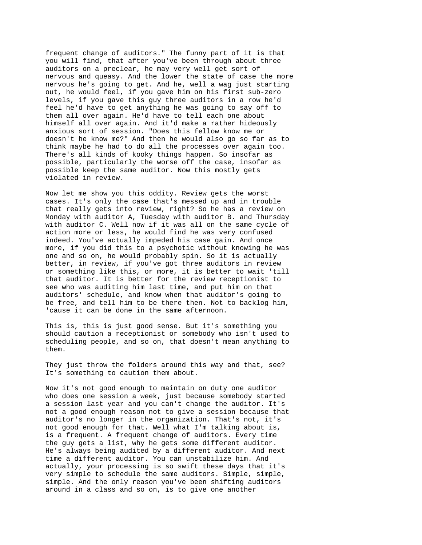frequent change of auditors." The funny part of it is that you will find, that after you've been through about three auditors on a preclear, he may very well get sort of nervous and queasy. And the lower the state of case the more nervous he's going to get. And he, well a wag just starting out, he would feel, if you gave him on his first sub-zero levels, if you gave this guy three auditors in a row he'd feel he'd have to get anything he was going to say off to them all over again. He'd have to tell each one about himself all over again. And it'd make a rather hideously anxious sort of session. "Does this fellow know me or doesn't he know me?" And then he would also go so far as to think maybe he had to do all the processes over again too. There's all kinds of kooky things happen. So insofar as possible, particularly the worse off the case, insofar as possible keep the same auditor. Now this mostly gets violated in review.

Now let me show you this oddity. Review gets the worst cases. It's only the case that's messed up and in trouble that really gets into review, right? So he has a review on Monday with auditor A, Tuesday with auditor B. and Thursday with auditor C. Well now if it was all on the same cycle of action more or less, he would find he was very confused indeed. You've actually impeded his case gain. And once more, if you did this to a psychotic without knowing he was one and so on, he would probably spin. So it is actually better, in review, if you've got three auditors in review or something like this, or more, it is better to wait 'till that auditor. It is better for the review receptionist to see who was auditing him last time, and put him on that auditors' schedule, and know when that auditor's going to be free, and tell him to be there then. Not to backlog him, 'cause it can be done in the same afternoon.

This is, this is just good sense. But it's something you should caution a receptionist or somebody who isn't used to scheduling people, and so on, that doesn't mean anything to them.

They just throw the folders around this way and that, see? It's something to caution them about.

Now it's not good enough to maintain on duty one auditor who does one session a week, just because somebody started a session last year and you can't change the auditor. It's not a good enough reason not to give a session because that auditor's no longer in the organization. That's not, it's not good enough for that. Well what I'm talking about is, is a frequent. A frequent change of auditors. Every time the guy gets a list, why he gets some different auditor. He's always being audited by a different auditor. And next time a different auditor. You can unstabilize him. And actually, your processing is so swift these days that it's very simple to schedule the same auditors. Simple, simple, simple. And the only reason you've been shifting auditors around in a class and so on, is to give one another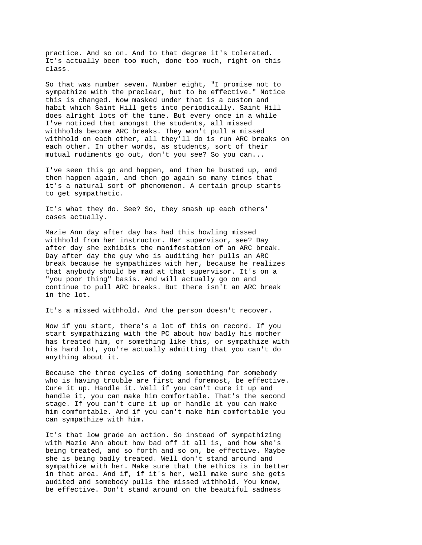practice. And so on. And to that degree it's tolerated. It's actually been too much, done too much, right on this class.

So that was number seven. Number eight, "I promise not to sympathize with the preclear, but to be effective." Notice this is changed. Now masked under that is a custom and habit which Saint Hill gets into periodically. Saint Hill does alright lots of the time. But every once in a while I've noticed that amongst the students, all missed withholds become ARC breaks. They won't pull a missed withhold on each other, all they'll do is run ARC breaks on each other. In other words, as students, sort of their mutual rudiments go out, don't you see? So you can...

I've seen this go and happen, and then be busted up, and then happen again, and then go again so many times that it's a natural sort of phenomenon. A certain group starts to get sympathetic.

It's what they do. See? So, they smash up each others' cases actually.

Mazie Ann day after day has had this howling missed withhold from her instructor. Her supervisor, see? Day after day she exhibits the manifestation of an ARC break. Day after day the guy who is auditing her pulls an ARC break because he sympathizes with her, because he realizes that anybody should be mad at that supervisor. It's on a "you poor thing" basis. And will actually go on and continue to pull ARC breaks. But there isn't an ARC break in the lot.

It's a missed withhold. And the person doesn't recover.

Now if you start, there's a lot of this on record. If you start sympathizing with the PC about how badly his mother has treated him, or something like this, or sympathize with his hard lot, you're actually admitting that you can't do anything about it.

Because the three cycles of doing something for somebody who is having trouble are first and foremost, be effective. Cure it up. Handle it. Well if you can't cure it up and handle it, you can make him comfortable. That's the second stage. If you can't cure it up or handle it you can make him comfortable. And if you can't make him comfortable you can sympathize with him.

It's that low grade an action. So instead of sympathizing with Mazie Ann about how bad off it all is, and how she's being treated, and so forth and so on, be effective. Maybe she is being badly treated. Well don't stand around and sympathize with her. Make sure that the ethics is in better in that area. And if, if it's her, well make sure she gets audited and somebody pulls the missed withhold. You know, be effective. Don't stand around on the beautiful sadness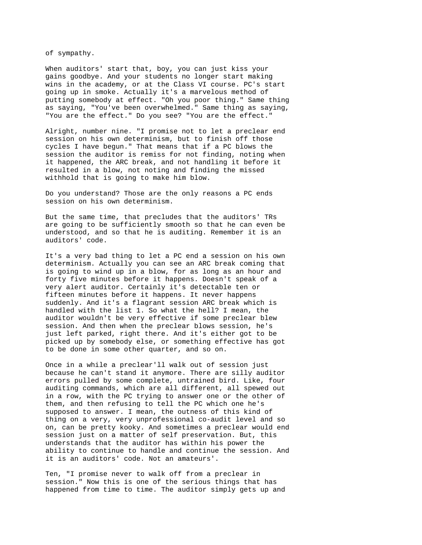of sympathy.

When auditors' start that, boy, you can just kiss your gains goodbye. And your students no longer start making wins in the academy, or at the Class VI course. PC's start going up in smoke. Actually it's a marvelous method of putting somebody at effect. "Oh you poor thing." Same thing as saying, "You've been overwhelmed." Same thing as saying, "You are the effect." Do you see? "You are the effect."

Alright, number nine. "I promise not to let a preclear end session on his own determinism, but to finish off those cycles I have begun." That means that if a PC blows the session the auditor is remiss for not finding, noting when it happened, the ARC break, and not handling it before it resulted in a blow, not noting and finding the missed withhold that is going to make him blow.

Do you understand? Those are the only reasons a PC ends session on his own determinism.

But the same time, that precludes that the auditors' TRs are going to be sufficiently smooth so that he can even be understood, and so that he is auditing. Remember it is an auditors' code.

It's a very bad thing to let a PC end a session on his own determinism. Actually you can see an ARC break coming that is going to wind up in a blow, for as long as an hour and forty five minutes before it happens. Doesn't speak of a very alert auditor. Certainly it's detectable ten or fifteen minutes before it happens. It never happens suddenly. And it's a flagrant session ARC break which is handled with the list 1. So what the hell? I mean, the auditor wouldn't be very effective if some preclear blew session. And then when the preclear blows session, he's just left parked, right there. And it's either got to be picked up by somebody else, or something effective has got to be done in some other quarter, and so on.

Once in a while a preclear'll walk out of session just because he can't stand it anymore. There are silly auditor errors pulled by some complete, untrained bird. Like, four auditing commands, which are all different, all spewed out in a row, with the PC trying to answer one or the other of them, and then refusing to tell the PC which one he's supposed to answer. I mean, the outness of this kind of thing on a very, very unprofessional co-audit level and so on, can be pretty kooky. And sometimes a preclear would end session just on a matter of self preservation. But, this understands that the auditor has within his power the ability to continue to handle and continue the session. And it is an auditors' code. Not an amateurs'.

Ten, "I promise never to walk off from a preclear in session." Now this is one of the serious things that has happened from time to time. The auditor simply gets up and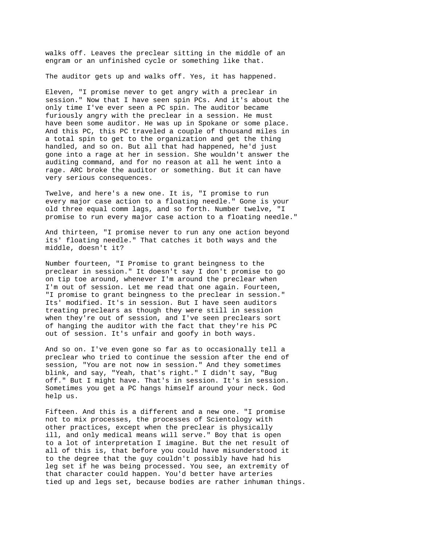walks off. Leaves the preclear sitting in the middle of an engram or an unfinished cycle or something like that.

The auditor gets up and walks off. Yes, it has happened.

Eleven, "I promise never to get angry with a preclear in session." Now that I have seen spin PCs. And it's about the only time I've ever seen a PC spin. The auditor became furiously angry with the preclear in a session. He must have been some auditor. He was up in Spokane or some place. And this PC, this PC traveled a couple of thousand miles in a total spin to get to the organization and get the thing handled, and so on. But all that had happened, he'd just gone into a rage at her in session. She wouldn't answer the auditing command, and for no reason at all he went into a rage. ARC broke the auditor or something. But it can have very serious consequences.

Twelve, and here's a new one. It is, "I promise to run every major case action to a floating needle." Gone is your old three equal comm lags, and so forth. Number twelve, "I promise to run every major case action to a floating needle."

And thirteen, "I promise never to run any one action beyond its' floating needle." That catches it both ways and the middle, doesn't it?

Number fourteen, "I Promise to grant beingness to the preclear in session." It doesn't say I don't promise to go on tip toe around, whenever I'm around the preclear when I'm out of session. Let me read that one again. Fourteen, "I promise to grant beingness to the preclear in session." Its' modified. It's in session. But I have seen auditors treating preclears as though they were still in session when they're out of session, and I've seen preclears sort of hanging the auditor with the fact that they're his PC out of session. It's unfair and goofy in both ways.

And so on. I've even gone so far as to occasionally tell a preclear who tried to continue the session after the end of session, "You are not now in session." And they sometimes blink, and say, "Yeah, that's right." I didn't say, "Bug off." But I might have. That's in session. It's in session. Sometimes you get a PC hangs himself around your neck. God help us.

Fifteen. And this is a different and a new one. "I promise not to mix processes, the processes of Scientology with other practices, except when the preclear is physically ill, and only medical means will serve." Boy that is open to a lot of interpretation I imagine. But the net result of all of this is, that before you could have misunderstood it to the degree that the guy couldn't possibly have had his leg set if he was being processed. You see, an extremity of that character could happen. You'd better have arteries tied up and legs set, because bodies are rather inhuman things.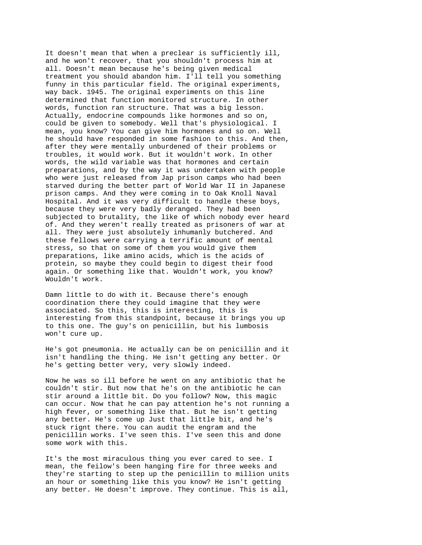It doesn't mean that when a preclear is sufficiently ill, and he won't recover, that you shouldn't process him at all. Doesn't mean because he's being given medical treatment you should abandon him. I'll tell you something funny in this particular field. The original experiments, way back. 1945. The original experiments on this line determined that function monitored structure. In other words, function ran structure. That was a big lesson. Actually, endocrine compounds like hormones and so on, could be given to somebody. Well that's physiological. I mean, you know? You can give him hormones and so on. Well he should have responded in some fashion to this. And then, after they were mentally unburdened of their problems or troubles, it would work. But it wouldn't work. In other words, the wild variable was that hormones and certain preparations, and by the way it was undertaken with people who were just released from Jap prison camps who had been starved during the better part of World War II in Japanese prison camps. And they were coming in to Oak Knoll Naval Hospital. And it was very difficult to handle these boys, because they were very badly deranged. They had been subjected to brutality, the like of which nobody ever heard of. And they weren't really treated as prisoners of war at all. They were just absolutely inhumanly butchered. And these fellows were carrying a terrific amount of mental stress, so that on some of them you would give them preparations, like amino acids, which is the acids of protein, so maybe they could begin to digest their food again. Or something like that. Wouldn't work, you know? Wouldn't work.

Damn little to do with it. Because there's enough coordination there they could imagine that they were associated. So this, this is interesting, this is interesting from this standpoint, because it brings you up to this one. The guy's on penicillin, but his lumbosis won't cure up.

He's got pneumonia. He actually can be on penicillin and it isn't handling the thing. He isn't getting any better. Or he's getting better very, very slowly indeed.

Now he was so ill before he went on any antibiotic that he couldn't stir. But now that he's on the antibiotic he can stir around a little bit. Do you follow? Now, this magic can occur. Now that he can pay attention he's not running a high fever, or something like that. But he isn't getting any better. He's come up Just that little bit, and he's stuck rignt there. You can audit the engram and the penicillin works. I've seen this. I've seen this and done some work with this.

It's the most miraculous thing you ever cared to see. I mean, the feilow's been hanging fire for three weeks and they're starting to step up the penicillin to million units an hour or something like this you know? He isn't getting any better. He doesn't improve. They continue. This is all,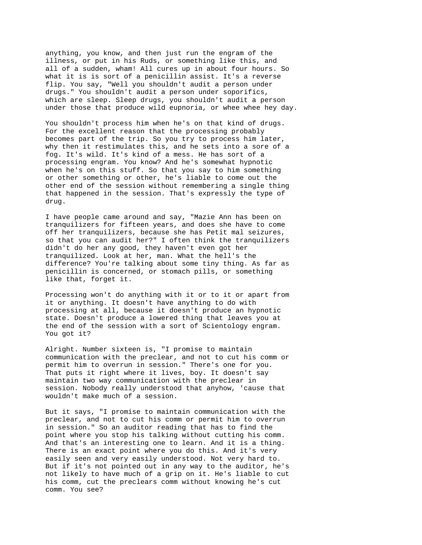anything, you know, and then just run the engram of the illness, or put in his Ruds, or something like this, and all of a sudden, wham! All cures up in about four hours. So what it is is sort of a penicillin assist. It's a reverse flip. You say, "Well you shouldn't audit a person under drugs." You shouldn't audit a person under soporifics, which are sleep. Sleep drugs, you shouldn't audit a person under those that produce wild eupnoria, or whee whee hey day.

You shouldn't process him when he's on that kind of drugs. For the excellent reason that the processing probably becomes part of the trip. So you try to process him later, why then it restimulates this, and he sets into a sore of a fog. It's wild. It's kind of a mess. He has sort of a processing engram. You know? And he's somewhat hypnotic when he's on this stuff. So that you say to him something or other something or other, he's liable to come out the other end of the session without remembering a single thing that happened in the session. That's expressly the type of drug.

I have people came around and say, "Mazie Ann has been on tranquilizers for fifteen years, and does she have to come off her tranquilizers, because she has Petit mal seizures, so that you can audit her?" I often think the tranquilizers didn't do her any good, they haven't even got her tranquilized. Look at her, man. What the hell's the difference? You're talking about some tiny thing. As far as penicillin is concerned, or stomach pills, or something like that, forget it.

Processing won't do anything with it or to it or apart from it or anything. It doesn't have anything to do with processing at all, because it doesn't produce an hypnotic state. Doesn't produce a lowered thing that leaves you at the end of the session with a sort of Scientology engram. You got it?

Alright. Number sixteen is, "I promise to maintain communication with the preclear, and not to cut his comm or permit him to overrun in session." There's one for you. That puts it right where it lives, boy. It doesn't say maintain two way communication with the preclear in session. Nobody really understood that anyhow, 'cause that wouldn't make much of a session.

But it says, "I promise to maintain communication with the preclear, and not to cut his comm or permit him to overrun in session." So an auditor reading that has to find the point where you stop his talking without cutting his comm. And that's an interesting one to learn. And it is a thing. There is an exact point where you do this. And it's very easily seen and very easily understood. Not very hard to. But if it's not pointed out in any way to the auditor, he's not likely to have much of a grip on it. He's liable to cut his comm, cut the preclears comm without knowing he's cut comm. You see?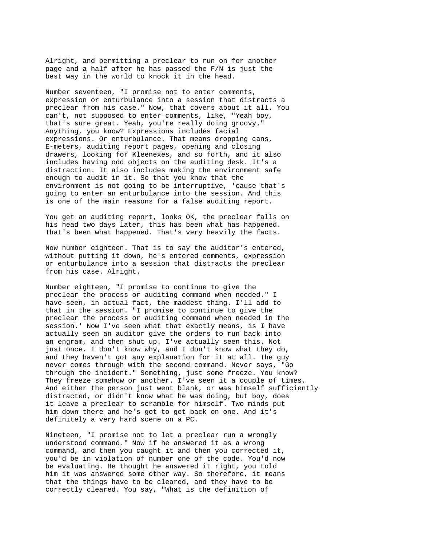Alright, and permitting a preclear to run on for another page and a half after he has passed the F/N is just the best way in the world to knock it in the head.

Number seventeen, "I promise not to enter comments, expression or enturbulance into a session that distracts a preclear from his case." Now, that covers about it all. You can't, not supposed to enter comments, like, "Yeah boy, that's sure great. Yeah, you're really doing groovy." Anything, you know? Expressions includes facial expressions. Or enturbulance. That means dropping cans, E-meters, auditing report pages, opening and closing drawers, looking for Kleenexes, and so forth, and it also includes having odd objects on the auditing desk. It's a distraction. It aiso includes making the environment safe enough to audit in it. So that you know that the environment is not going to be interruptive, 'cause that's going to enter an enturbulance into the session. And this is one of the main reasons for a false auditing report.

You get an auditing report, looks OK, the preclear falls on his head two days later, this has been what has happened. That's been what happened. That's very heavily the facts.

Now number eighteen. That is to say the auditor's entered, without putting it down, he's entered comments, expression or enturbulance into a session that distracts the preclear from his case. Alright.

Number eighteen, "I promise to continue to give the preclear the process or auditing command when needed." I have seen, in actual fact, the maddest thing. I'll add to that in the session. "I promise to continue to give the preclear the process or auditing command when needed in the session.' Now I've seen what that exactly means, is I have actually seen an auditor give the orders to run back into an engram, and then shut up. I've actually seen this. Not just once. I don't know why, and I don't know what they do, and they haven't got any explanation for it at all. The guy never comes through with the second command. Never says, "Go through the incident." Something, just some freeze. You know? They freeze somehow or another. I've seen it a couple of times. And either the person just went blank, or was himself sufficiently distracted, or didn't know what he was doing, but boy, does it leave a preclear to scramble for himself. Two minds put him down there and he's got to get back on one. And it's definitely a very hard scene on a PC.

Nineteen, "I promise not to let a preclear run a wrongly understood command." Now if he answered it as a wrong command, and then you caught it and then you corrected it, you'd be in violation of number one of the code. You'd now be evaluating. He thought he answered it right, you told him it was answered some other way. So therefore, it means that the things have to be cleared, and they have to be correctly cleared. You say, "What is the definition of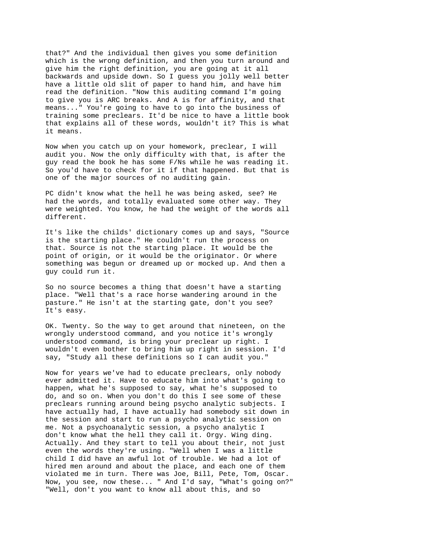that?" And the individual then gives you some definition which is the wrong definition, and then you turn around and give him the right definition, you are going at it all backwards and upside down. So I guess you jolly well better have a little old slit of paper to hand him, and have him read the definition. "Now this auditing command I'm going to give you is ARC breaks. And A is for affinity, and that means..." You're going to have to go into the business of training some preclears. It'd be nice to have a little book that explains all of these words, wouldn't it? This is what it means.

Now when you catch up on your homework, preclear, I will audit you. Now the only difficulty with that, is after the guy read the book he has some F/Ns while he was reading it. So you'd have to check for it if that happened. But that is one of the major sources of no auditing gain.

PC didn't know what the hell he was being asked, see? He had the words, and totally evaluated some other way. They were weighted. You know, he had the weight of the words all different.

It's like the childs' dictionary comes up and says, "Source is the starting place." He couldn't run the process on that. Source is not the starting place. It would be the point of origin, or it would be the originator. Or where something was begun or dreamed up or mocked up. And then a guy could run it.

So no source becomes a thing that doesn't have a starting place. "Well that's a race horse wandering around in the pasture." He isn't at the starting gate, don't you see? It's easy.

OK. Twenty. So the way to get around that nineteen, on the wrongly understood command, and you notice it's wrongly understood command, is bring your preclear up right. I wouldn't even bother to bring him up right in session. I'd say, "Study all these definitions so I can audit you."

Now for years we've had to educate preclears, only nobody ever admitted it. Have to educate him into what's going to happen, what he's supposed to say, what he's supposed to do, and so on. When you don't do this I see some of these preclears running around being psycho analytic subjects. I have actually had, I have actually had somebody sit down in the session and start to run a psycho analytic session on me. Not a psychoanalytic session, a psycho analytic I don't know what the hell they call it. Orgy. Wing ding. Actually. And they start to tell you about their, not just even the words they're using. "Well when I was a little child I did have an awful lot of trouble. We had a lot of hired men around and about the place, and each one of them violated me in turn. There was Joe, Bill, Pete, Tom, Oscar. Now, you see, now these... " And I'd say, "What's going on?" "Well, don't you want to know all about this, and so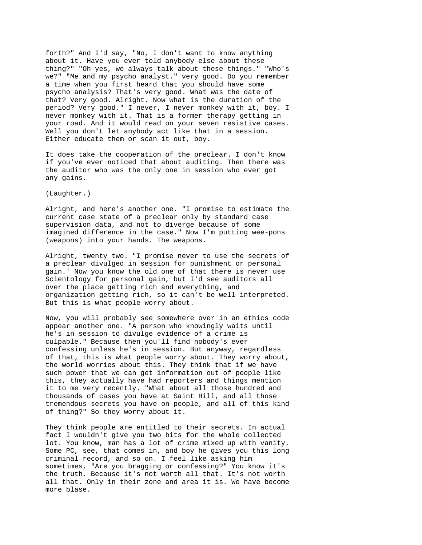forth?" And I'd say, "No, I don't want to know anything about it. Have you ever told anybody else about these thing?" "Oh yes, we always talk about these things." "Who's we?" "Me and my psycho analyst." very good. Do you remember a time when you first heard that you should have some psycho analysis? That's very good. What was the date of that? Very good. Alright. Now what is the duration of the period? Very good." I never, I never monkey with it, boy. I never monkey with it. That is a former therapy getting in your road. And it would read on your seven resistive cases. Well you don't let anybody act like that in a session. Either educate them or scan it out, boy.

It does take the cooperation of the preclear. I don't know if you've ever noticed that about auditing. Then there was the auditor who was the only one in session who ever got any gains.

(Laughter.)

Alright, and here's another one. "I promise to estimate the current case state of a preclear only by standard case supervision data, and not to diverge because of some imagined difference in the case." Now I'm putting wee-pons (weapons) into your hands. The weapons.

Alright, twenty two. "I promise never to use the secrets of a preclear divulged in session for punishment or personal gain.' Now you know the old one of that there is never use Scientology for personal gain, but I'd see auditors all over the place getting rich and everything, and organization getting rich, so it can't be well interpreted. But this is what people worry about.

Now, you will probably see somewhere over in an ethics code appear another one. "A person who knowingly waits until he's in session to divulge evidence of a crime is culpable." Because then you'll find nobody's ever confessing unless he's in session. But anyway, regardless of that, this is what people worry about. They worry about, the world worries about this. They think that if we have such power that we can get information out of people like this, they actually have had reporters and things mention it to me very recently. "What about all those hundred and thousands of cases you have at Saint Hill, and all those tremendous secrets you have on people, and all of this kind of thing?" So they worry about it.

They think people are entitled to their secrets. In actual fact I wouldn't give you two bits for the whole collected lot. You know, man has a lot of crime mixed up with vanity. Some PC, see, that comes in, and boy he gives you this long criminal record, and so on. I feel like asking him sometimes, "Are you bragging or confessing?" You know it's the truth. Because it's not worth all that. It's not worth all that. Only in their zone and area it is. We have become more blase.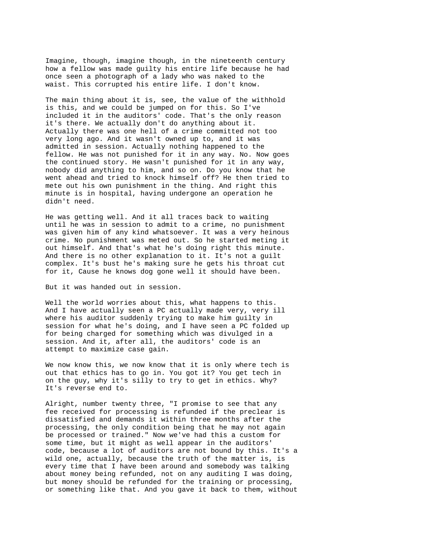Imagine, though, imagine though, in the nineteenth century how a fellow was made guilty his entire life because he had once seen a photograph of a lady who was naked to the waist. This corrupted his entire life. I don't know.

The main thing about it is, see, the value of the withhold is this, and we could be jumped on for this. So I've included it in the auditors' code. That's the only reason it's there. We actually don't do anything about it. Actually there was one hell of a crime committed not too very long ago. And it wasn't owned up to, and it was admitted in session. Actually nothing happened to the fellow. He was not punished for it in any way. No. Now goes the continued story. He wasn't punished for it in any way, nobody did anything to him, and so on. Do you know that he went ahead and tried to knock himself off? He then tried to mete out his own punishment in the thing. And right this minute is in hospital, having undergone an operation he didn't need.

He was getting well. And it all traces back to waiting until he was in session to admit to a crime, no punishment was given him of any kind whatsoever. It was a very heinous crime. No punishment was meted out. So he started meting it out himself. And that's what he's doing right this minute. And there is no other explanation to it. It's not a guilt complex. It's bust he's making sure he gets his throat cut for it, Cause he knows dog gone well it should have been.

But it was handed out in session.

Well the world worries about this, what happens to this. And I have actually seen a PC actually made very, very ill where his auditor suddenly trying to make him guilty in session for what he's doing, and I have seen a PC folded up for being charged for something which was divulged in a session. And it, after all, the auditors' code is an attempt to maximize case gain.

We now know this, we now know that it is only where tech is out that ethics has to go in. You got it? You get tech in on the guy, why it's silly to try to get in ethics. Why? It's reverse end to.

Alright, number twenty three, "I promise to see that any fee received for processing is refunded if the preclear is dissatisfied and demands it within three months after the processing, the only condition being that he may not again be processed or trained." Now we've had this a custom for some time, but it might as well appear in the auditors' code, because a lot of auditors are not bound by this. It's a wild one, actually, because the truth of the matter is, is every time that I have been around and somebody was talking about money being refunded, not on any auditing I was doing, but money should be refunded for the training or processing, or something like that. And you gave it back to them, without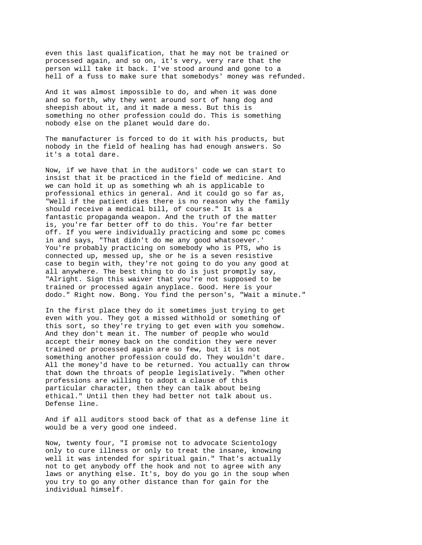even this last qualification, that he may not be trained or processed again, and so on, it's very, very rare that the person will take it back. I've stood around and gone to a hell of a fuss to make sure that somebodys' money was refunded.

And it was almost impossible to do, and when it was done and so forth, why they went around sort of hang dog and sheepish about it, and it made a mess. But this is something no other profession could do. This is something nobody else on the planet would dare do.

The manufacturer is forced to do it with his products, but nobody in the field of healing has had enough answers. So it's a total dare.

Now, if we have that in the auditors' code we can start to insist that it be practiced in the field of medicine. And we can hold it up as something wh ah is applicable to professional ethics in general. And it could go so far as, "Well if the patient dies there is no reason why the family should receive a medical bill, of course." It is a fantastic propaganda weapon. And the truth of the matter is, you're far better off to do this. You're far better off. If you were individually practicing and some pc comes in and says, "That didn't do me any good whatsoever.' You're probably practicing on somebody who is PTS, who is connected up, messed up, she or he is a seven resistive case to begin with, they're not going to do you any good at all anywhere. The best thing to do is just promptly say, "Alright. Sign this waiver that you're not supposed to be trained or processed again anyplace. Good. Here is your dodo." Right now. Bong. You find the person's, "Wait a minute."

In the first place they do it sometimes just trying to get even with you. They got a missed withhold or something of this sort, so they're trying to get even with you somehow. And they don't mean it. The number of people who would accept their money back on the condition they were never trained or processed again are so few, but it is not something another profession could do. They wouldn't dare. All the money'd have to be returned. You actually can throw that down the throats of people legislatively. "When other professions are willing to adopt a clause of this particular character, then they can talk about being ethical." Until then they had better not talk about us. Defense line.

And if all auditors stood back of that as a defense line it would be a very good one indeed.

Now, twenty four, "I promise not to advocate Scientology only to cure illness or only to treat the insane, knowing well it was intended for spiritual gain." That's actually not to get anybody off the hook and not to agree with any laws or anything else. It's, boy do you go in the soup when you try to go any other distance than for gain for the individual himself.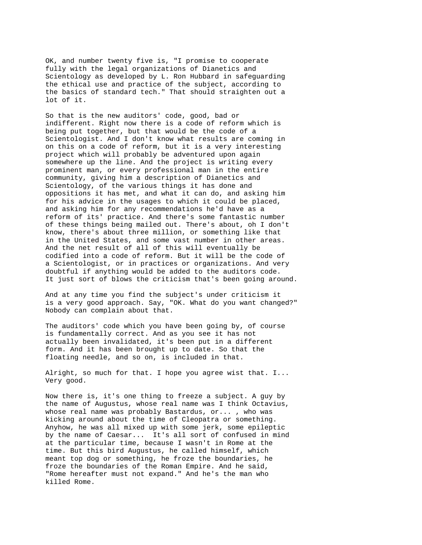OK, and number twenty five is, "I promise to cooperate fully with the legal organizations of Dianetics and Scientology as developed by L. Ron Hubbard in safeguarding the ethical use and practice of the subject, according to the basics of standard tech." That should straighten out a lot of it.

So that is the new auditors' code, good, bad or indifferent. Right now there is a code of reform which is being put together, but that would be the code of a Scientologist. And I don't know what results are coming in on this on a code of reform, but it is a very interesting project which will probably be adventured upon again somewhere up the line. And the project is writing every prominent man, or every professional man in the entire community, giving him a description of Dianetics and Scientology, of the various things it has done and oppositions it has met, and what it can do, and asking him for his advice in the usages to which it could be placed, and asking him for any recommendations he'd have as a reform of its' practice. And there's some fantastic number of these things being mailed out. There's about, oh I don't know, there's about three million, or something like that in the United States, and some vast number in other areas. And the net result of all of this will eventually be codified into a code of reform. But it will be the code of a Scientologist, or in practices or organizations. And very doubtful if anything would be added to the auditors code. It just sort of blows the criticism that's been going around.

And at any time you find the subject's under criticism it is a very good approach. Say, "OK. What do you want changed?" Nobody can complain about that.

The auditors' code which you have been going by, of course is fundamentally correct. And as you see it has not actually been invalidated, it's been put in a different form. And it has been brought up to date. So that the floating needle, and so on, is included in that.

Alright, so much for that. I hope you agree wist that. I... Very good.

Now there is, it's one thing to freeze a subject. A guy by the name of Augustus, whose real name was I think Octavius, whose real name was probably Bastardus, or... , who was kicking around about the time of Cleopatra or something. Anyhow, he was all mixed up with some jerk, some epileptic by the name of Caesar... It's all sort of confused in mind at the particular time, because I wasn't in Rome at the time. But this bird Augustus, he called himself, which meant top dog or something, he froze the boundaries, he froze the boundaries of the Roman Empire. And he said, "Rome hereafter must not expand." And he's the man who killed Rome.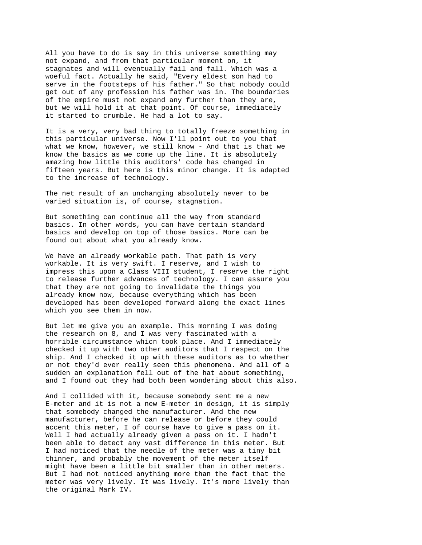All you have to do is say in this universe something may not expand, and from that particular moment on, it stagnates and will eventually fail and fall. Which was a woeful fact. Actually he said, "Every eldest son had to serve in the footsteps of his father." So that nobody could get out of any profession his father was in. The boundaries of the empire must not expand any further than they are, but we will hold it at that point. Of course, immediately it started to crumble. He had a lot to say.

It is a very, very bad thing to totally freeze something in this particular universe. Now I'll point out to you that what we know, however, we still know - And that is that we know the basics as we come up the line. It is absolutely amazing how little this auditors' code has changed in fifteen years. But here is this minor change. It is adapted to the increase of technology.

The net result of an unchanging absolutely never to be varied situation is, of course, stagnation.

But something can continue all the way from standard basics. In other words, you can have certain standard basics and develop on top of those basics. More can be found out about what you already know.

We have an already workable path. That path is very workable. It is very swift. I reserve, and I wish to impress this upon a Class VIII student, I reserve the right to release further advances of technology. I can assure you that they are not going to invalidate the things you already know now, because everything which has been developed has been developed forward along the exact lines which you see them in now.

But let me give you an example. This morning I was doing the research on 8, and I was very fascinated with a horrible circumstance whicn took place. And I immediately checked it up with two other auditors that I respect on the ship. And I checked it up with these auditors as to whether or not they'd ever really seen this phenomena. And all of a sudden an explanation fell out of the hat about something, and I found out they had both been wondering about this also.

And I collided with it, because somebody sent me a new E-meter and it is not a new E-meter in design, it is simply that somebody changed the manufacturer. And the new manufacturer, before he can release or before they could accent this meter, I of course have to give a pass on it. Well I had actually already given a pass on it. I hadn't been able to detect any vast difference in this meter. But I had noticed that the needle of the meter was a tiny bit thinner, and probably the movement of the meter itself might have been a little bit smaller than in other meters. But I had not noticed anything more than the fact that the meter was very lively. It was lively. It's more lively than the original Mark IV.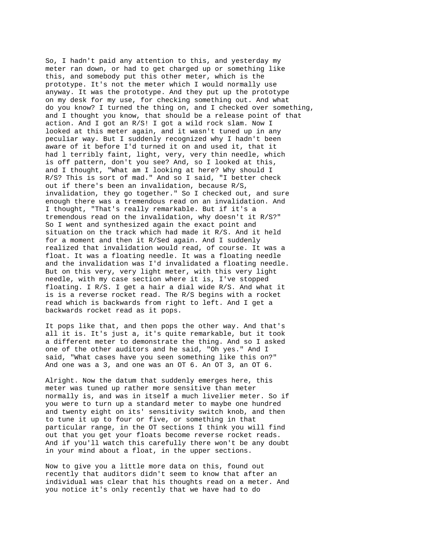So, I hadn't paid any attention to this, and yesterday my meter ran down, or had to get charged up or something like this, and somebody put this other meter, which is the prototype. It's not the meter which I would normally use anyway. It was the prototype. And they put up the prototype on my desk for my use, for checking something out. And what do you know? I turned the thing on, and I checked over something, and I thought you know, that should be a release point of that action. And I got an R/S! I got a wild rock slam. Now I looked at this meter again, and it wasn't tuned up in any peculiar way. But I suddenly recognized why I hadn't been aware of it before I'd turned it on and used it, that it had l terribly faint, light, very, very thin needle, which is off pattern, don't you see? And, so I looked at this, and I thought, "What am I looking at here? Why should I R/S? This is sort of mad." And so I said, "I better check out if there's been an invalidation, because R/S, invalidation, they go together." So I checked out, and sure enough there was a tremendous read on an invalidation. And I thought, "That's really remarkable. But if it's a tremendous read on the invalidation, why doesn't it R/S?" So I went and synthesized again the exact point and situation on the track which had made it R/S. And it held for a moment and then it R/Sed again. And I suddenly realized that invalidation would read, of course. It was a float. It was a floating needle. It was a floating needle and the invalidation was I'd invalidated a floating needle. But on this very, very light meter, with this very light needle, with my case section where it is, I've stopped floating. I R/S. I get a hair a dial wide R/S. And what it is is a reverse rocket read. The R/S begins with a rocket read which is backwards from right to left. And I get a backwards rocket read as it pops.

It pops like that, and then pops the other way. And that's all it is. It's just a, it's quite remarkable, but it took a different meter to demonstrate the thing. And so I asked one of the other auditors and he said, "Oh yes." And I said, "What cases have you seen something like this on?" And one was a 3, and one was an OT 6. An OT 3, an OT 6.

Alright. Now the datum that suddenly emerges here, this meter was tuned up rather more sensitive than meter normally is, and was in itself a much livelier meter. So if you were to turn up a standard meter to maybe one hundred and twenty eight on its' sensitivity switch knob, and then to tune it up to four or five, or something in that particular range, in the OT sections I think you will find out that you get your floats become reverse rocket reads. And if you'll watch this carefully there won't be any doubt in your mind about a float, in the upper sections.

Now to give you a little more data on this, found out recently that auditors didn't seem to know that after an individual was clear that his thoughts read on a meter. And you notice it's only recently that we have had to do